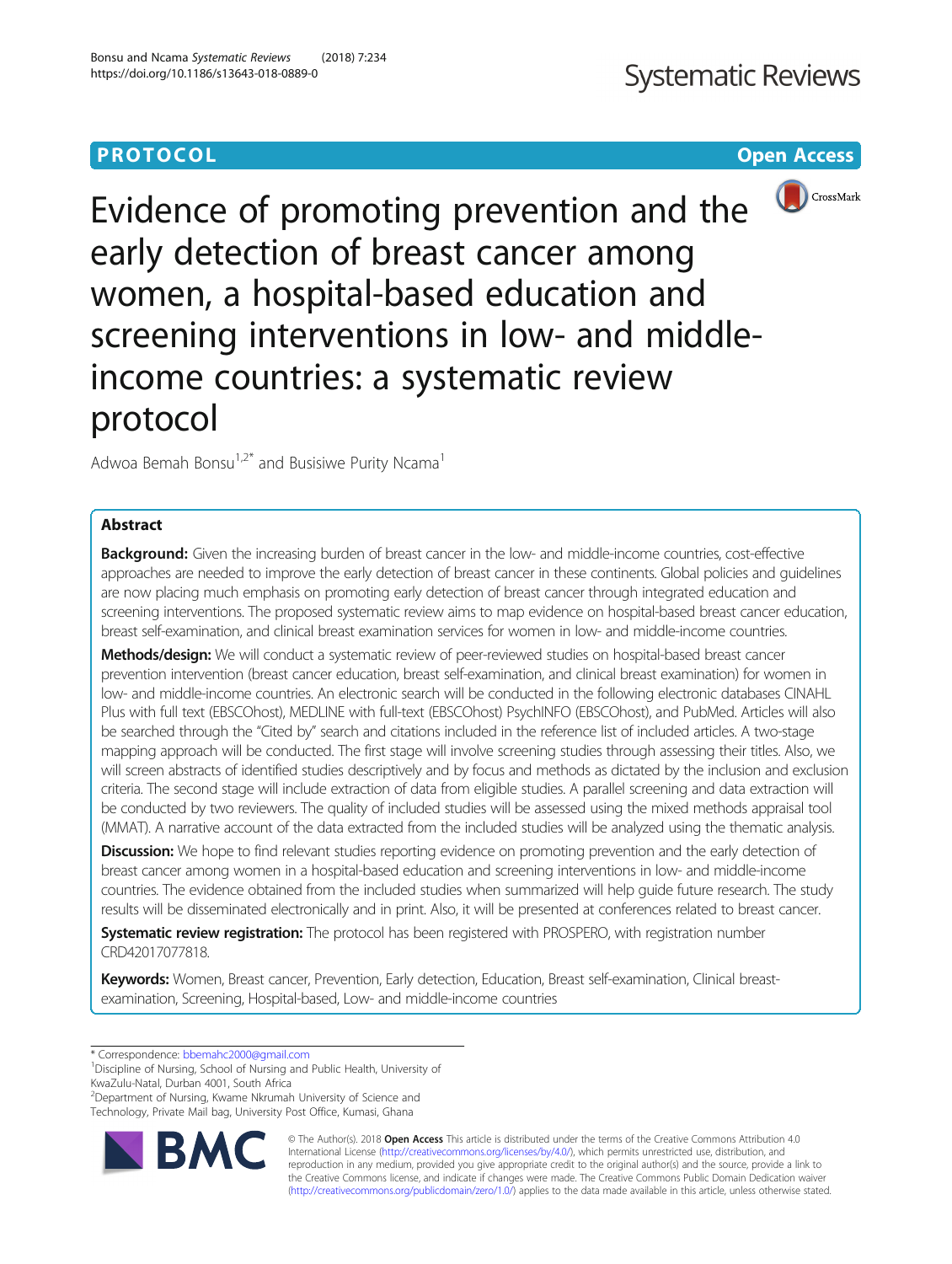# **PROTOCOL CONSUMING THE CONSUMING TEACHER CONSUMING THE CONSUMING TEACHER CONSUMING THE CONSUMING TEACHER CONSUMING**



Evidence of promoting prevention and the early detection of breast cancer among women, a hospital-based education and screening interventions in low- and middleincome countries: a systematic review protocol

Adwoa Bemah Bonsu<sup>1,2\*</sup> and Busisiwe Purity Ncama<sup>1</sup>

## Abstract

Background: Given the increasing burden of breast cancer in the low- and middle-income countries, cost-effective approaches are needed to improve the early detection of breast cancer in these continents. Global policies and guidelines are now placing much emphasis on promoting early detection of breast cancer through integrated education and screening interventions. The proposed systematic review aims to map evidence on hospital-based breast cancer education, breast self-examination, and clinical breast examination services for women in low- and middle-income countries.

Methods/design: We will conduct a systematic review of peer-reviewed studies on hospital-based breast cancer prevention intervention (breast cancer education, breast self-examination, and clinical breast examination) for women in low- and middle-income countries. An electronic search will be conducted in the following electronic databases CINAHL Plus with full text (EBSCOhost), MEDLINE with full-text (EBSCOhost) PsychINFO (EBSCOhost), and PubMed. Articles will also be searched through the "Cited by" search and citations included in the reference list of included articles. A two-stage mapping approach will be conducted. The first stage will involve screening studies through assessing their titles. Also, we will screen abstracts of identified studies descriptively and by focus and methods as dictated by the inclusion and exclusion criteria. The second stage will include extraction of data from eligible studies. A parallel screening and data extraction will be conducted by two reviewers. The quality of included studies will be assessed using the mixed methods appraisal tool (MMAT). A narrative account of the data extracted from the included studies will be analyzed using the thematic analysis.

Discussion: We hope to find relevant studies reporting evidence on promoting prevention and the early detection of breast cancer among women in a hospital-based education and screening interventions in low- and middle-income countries. The evidence obtained from the included studies when summarized will help guide future research. The study results will be disseminated electronically and in print. Also, it will be presented at conferences related to breast cancer.

Systematic review registration: The protocol has been registered with PROSPERO, with registration number CRD42017077818.

Keywords: Women, Breast cancer, Prevention, Early detection, Education, Breast self-examination, Clinical breastexamination, Screening, Hospital-based, Low- and middle-income countries

\* Correspondence: [bbemahc2000@gmail.com](mailto:bbemahc2000@gmail.com) <sup>1</sup>

<sup>1</sup>Discipline of Nursing, School of Nursing and Public Health, University of KwaZulu-Natal, Durban 4001, South Africa

<sup>2</sup>Department of Nursing, Kwame Nkrumah University of Science and

Technology, Private Mail bag, University Post Office, Kumasi, Ghana



© The Author(s). 2018 Open Access This article is distributed under the terms of the Creative Commons Attribution 4.0 International License [\(http://creativecommons.org/licenses/by/4.0/](http://creativecommons.org/licenses/by/4.0/)), which permits unrestricted use, distribution, and reproduction in any medium, provided you give appropriate credit to the original author(s) and the source, provide a link to the Creative Commons license, and indicate if changes were made. The Creative Commons Public Domain Dedication waiver [\(http://creativecommons.org/publicdomain/zero/1.0/](http://creativecommons.org/publicdomain/zero/1.0/)) applies to the data made available in this article, unless otherwise stated.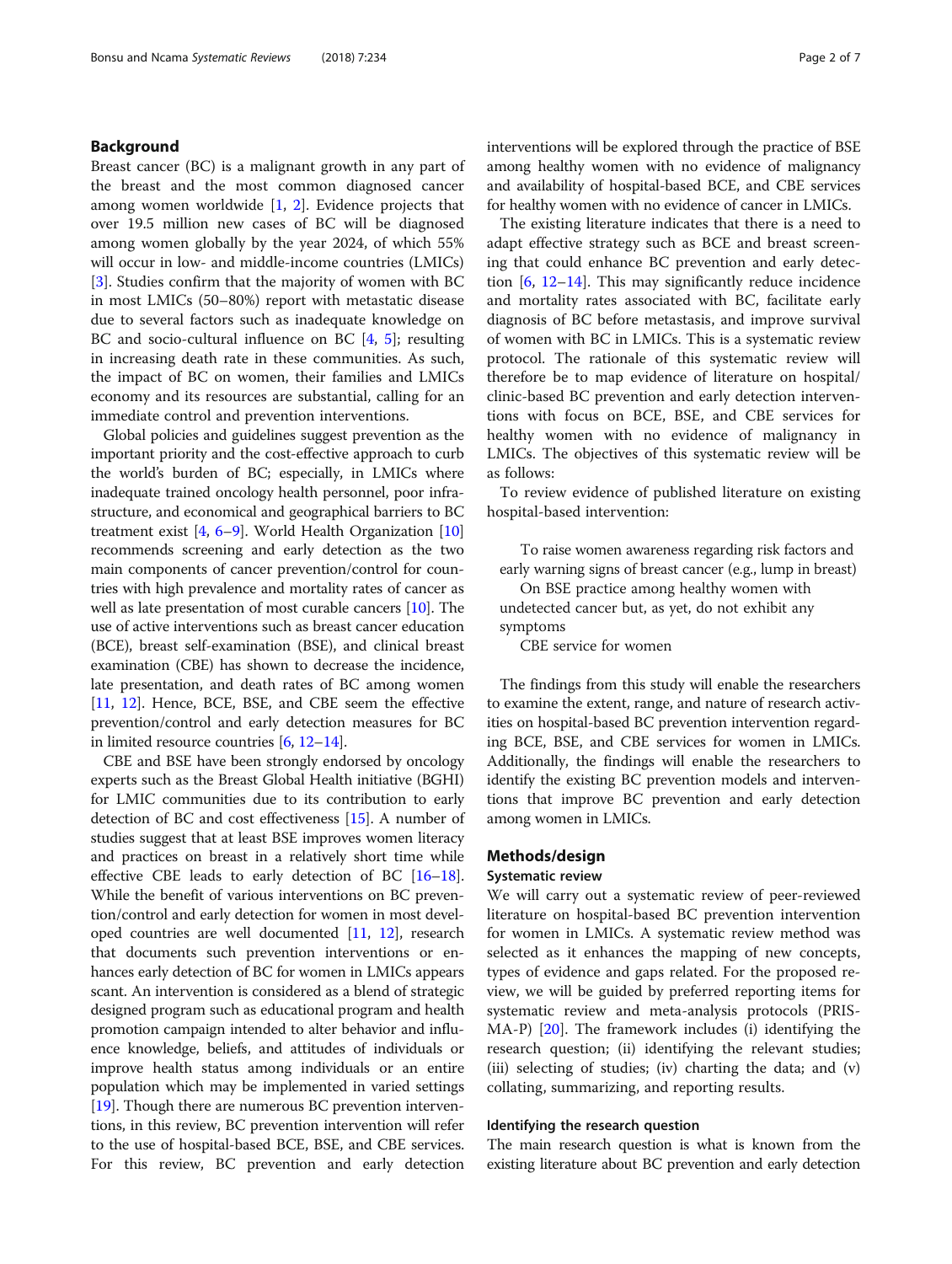### Background

Breast cancer (BC) is a malignant growth in any part of the breast and the most common diagnosed cancer among women worldwide  $[1, 2]$  $[1, 2]$  $[1, 2]$  $[1, 2]$ . Evidence projects that over 19.5 million new cases of BC will be diagnosed among women globally by the year 2024, of which 55% will occur in low- and middle-income countries (LMICs) [[3\]](#page-6-0). Studies confirm that the majority of women with BC in most LMICs (50–80%) report with metastatic disease due to several factors such as inadequate knowledge on BC and socio-cultural influence on BC  $[4, 5]$  $[4, 5]$  $[4, 5]$  $[4, 5]$ ; resulting in increasing death rate in these communities. As such, the impact of BC on women, their families and LMICs economy and its resources are substantial, calling for an immediate control and prevention interventions.

Global policies and guidelines suggest prevention as the important priority and the cost-effective approach to curb the world's burden of BC; especially, in LMICs where inadequate trained oncology health personnel, poor infrastructure, and economical and geographical barriers to BC treatment exist [\[4](#page-6-0), [6](#page-6-0)–[9](#page-6-0)]. World Health Organization [[10](#page-6-0)] recommends screening and early detection as the two main components of cancer prevention/control for countries with high prevalence and mortality rates of cancer as well as late presentation of most curable cancers [\[10\]](#page-6-0). The use of active interventions such as breast cancer education (BCE), breast self-examination (BSE), and clinical breast examination (CBE) has shown to decrease the incidence, late presentation, and death rates of BC among women [[11](#page-6-0), [12](#page-6-0)]. Hence, BCE, BSE, and CBE seem the effective prevention/control and early detection measures for BC in limited resource countries [\[6](#page-6-0), [12](#page-6-0)–[14\]](#page-6-0).

CBE and BSE have been strongly endorsed by oncology experts such as the Breast Global Health initiative (BGHI) for LMIC communities due to its contribution to early detection of BC and cost effectiveness [[15\]](#page-6-0). A number of studies suggest that at least BSE improves women literacy and practices on breast in a relatively short time while effective CBE leads to early detection of BC [\[16](#page-6-0)–[18](#page-6-0)]. While the benefit of various interventions on BC prevention/control and early detection for women in most developed countries are well documented [\[11,](#page-6-0) [12\]](#page-6-0), research that documents such prevention interventions or enhances early detection of BC for women in LMICs appears scant. An intervention is considered as a blend of strategic designed program such as educational program and health promotion campaign intended to alter behavior and influence knowledge, beliefs, and attitudes of individuals or improve health status among individuals or an entire population which may be implemented in varied settings [[19](#page-6-0)]. Though there are numerous BC prevention interventions, in this review, BC prevention intervention will refer to the use of hospital-based BCE, BSE, and CBE services. For this review, BC prevention and early detection interventions will be explored through the practice of BSE among healthy women with no evidence of malignancy and availability of hospital-based BCE, and CBE services for healthy women with no evidence of cancer in LMICs.

The existing literature indicates that there is a need to adapt effective strategy such as BCE and breast screening that could enhance BC prevention and early detection  $[6, 12-14]$  $[6, 12-14]$  $[6, 12-14]$  $[6, 12-14]$  $[6, 12-14]$  $[6, 12-14]$  $[6, 12-14]$ . This may significantly reduce incidence and mortality rates associated with BC, facilitate early diagnosis of BC before metastasis, and improve survival of women with BC in LMICs. This is a systematic review protocol. The rationale of this systematic review will therefore be to map evidence of literature on hospital/ clinic-based BC prevention and early detection interventions with focus on BCE, BSE, and CBE services for healthy women with no evidence of malignancy in LMICs. The objectives of this systematic review will be as follows:

To review evidence of published literature on existing hospital-based intervention:

To raise women awareness regarding risk factors and early warning signs of breast cancer (e.g., lump in breast)

On BSE practice among healthy women with undetected cancer but, as yet, do not exhibit any symptoms

CBE service for women

The findings from this study will enable the researchers to examine the extent, range, and nature of research activities on hospital-based BC prevention intervention regarding BCE, BSE, and CBE services for women in LMICs. Additionally, the findings will enable the researchers to identify the existing BC prevention models and interventions that improve BC prevention and early detection among women in LMICs.

### Methods/design

### Systematic review

We will carry out a systematic review of peer-reviewed literature on hospital-based BC prevention intervention for women in LMICs. A systematic review method was selected as it enhances the mapping of new concepts, types of evidence and gaps related. For the proposed review, we will be guided by preferred reporting items for systematic review and meta-analysis protocols (PRIS-MA-P) [\[20](#page-6-0)]. The framework includes (i) identifying the research question; (ii) identifying the relevant studies; (iii) selecting of studies; (iv) charting the data; and (v) collating, summarizing, and reporting results.

#### Identifying the research question

The main research question is what is known from the existing literature about BC prevention and early detection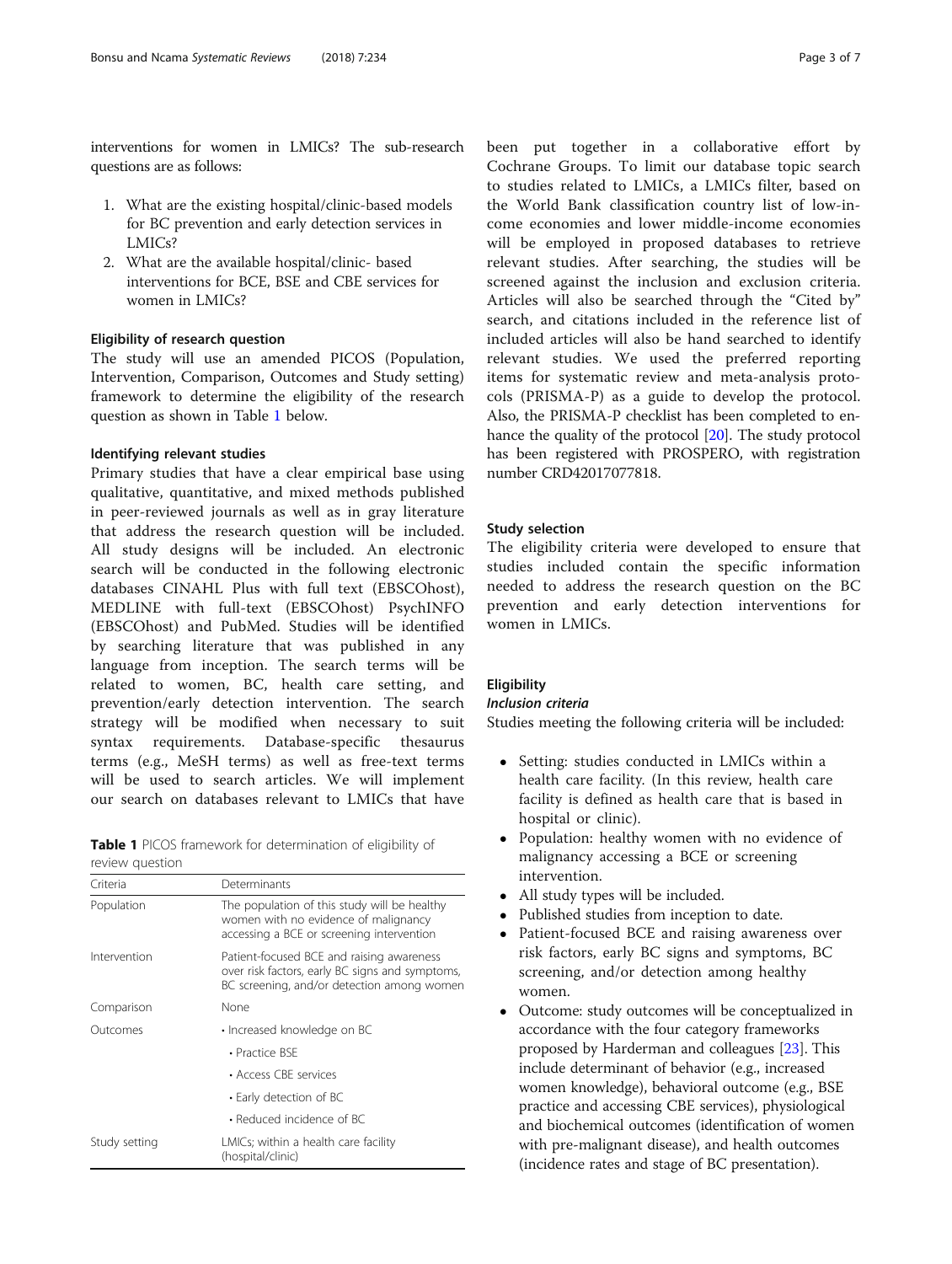interventions for women in LMICs? The sub-research questions are as follows:

- 1. What are the existing hospital/clinic-based models for BC prevention and early detection services in LMICs?
- 2. What are the available hospital/clinic- based interventions for BCE, BSE and CBE services for women in LMICs?

### Eligibility of research question

The study will use an amended PICOS (Population, Intervention, Comparison, Outcomes and Study setting) framework to determine the eligibility of the research question as shown in Table 1 below.

### Identifying relevant studies

Primary studies that have a clear empirical base using qualitative, quantitative, and mixed methods published in peer-reviewed journals as well as in gray literature that address the research question will be included. All study designs will be included. An electronic search will be conducted in the following electronic databases CINAHL Plus with full text (EBSCOhost), MEDLINE with full-text (EBSCOhost) PsychINFO (EBSCOhost) and PubMed. Studies will be identified by searching literature that was published in any language from inception. The search terms will be related to women, BC, health care setting, and prevention/early detection intervention. The search strategy will be modified when necessary to suit syntax requirements. Database-specific thesaurus terms (e.g., MeSH terms) as well as free-text terms will be used to search articles. We will implement our search on databases relevant to LMICs that have

Table 1 PICOS framework for determination of eligibility of review question

| Criteria      | Determinants                                                                                                                               |
|---------------|--------------------------------------------------------------------------------------------------------------------------------------------|
| Population    | The population of this study will be healthy<br>women with no evidence of malignancy<br>accessing a BCE or screening intervention          |
| Intervention  | Patient-focused BCE and raising awareness<br>over risk factors, early BC signs and symptoms,<br>BC screening, and/or detection among women |
| Comparison    | None                                                                                                                                       |
| Outcomes      | • Increased knowledge on BC                                                                                                                |
|               | • Practice BSF                                                                                                                             |
|               | • Access CBE services                                                                                                                      |
|               | • Early detection of BC                                                                                                                    |
|               | • Reduced incidence of BC                                                                                                                  |
| Study setting | LMICs; within a health care facility<br>(hospital/clinic)                                                                                  |

been put together in a collaborative effort by Cochrane Groups. To limit our database topic search to studies related to LMICs, a LMICs filter, based on the World Bank classification country list of low-income economies and lower middle-income economies will be employed in proposed databases to retrieve relevant studies. After searching, the studies will be screened against the inclusion and exclusion criteria. Articles will also be searched through the "Cited by" search, and citations included in the reference list of included articles will also be hand searched to identify relevant studies. We used the preferred reporting items for systematic review and meta-analysis protocols (PRISMA-P) as a guide to develop the protocol. Also, the PRISMA-P checklist has been completed to enhance the quality of the protocol [[20](#page-6-0)]. The study protocol has been registered with PROSPERO, with registration number CRD42017077818.

### Study selection

The eligibility criteria were developed to ensure that studies included contain the specific information needed to address the research question on the BC prevention and early detection interventions for women in LMICs.

### **Eligibility**

### Inclusion criteria

Studies meeting the following criteria will be included:

- Setting: studies conducted in LMICs within a health care facility. (In this review, health care facility is defined as health care that is based in hospital or clinic).
- Population: healthy women with no evidence of malignancy accessing a BCE or screening intervention.
- All study types will be included.
- Published studies from inception to date.
- Patient-focused BCE and raising awareness over risk factors, early BC signs and symptoms, BC screening, and/or detection among healthy women.
- Outcome: study outcomes will be conceptualized in accordance with the four category frameworks proposed by Harderman and colleagues [[23](#page-6-0)]. This include determinant of behavior (e.g., increased women knowledge), behavioral outcome (e.g., BSE practice and accessing CBE services), physiological and biochemical outcomes (identification of women with pre-malignant disease), and health outcomes (incidence rates and stage of BC presentation).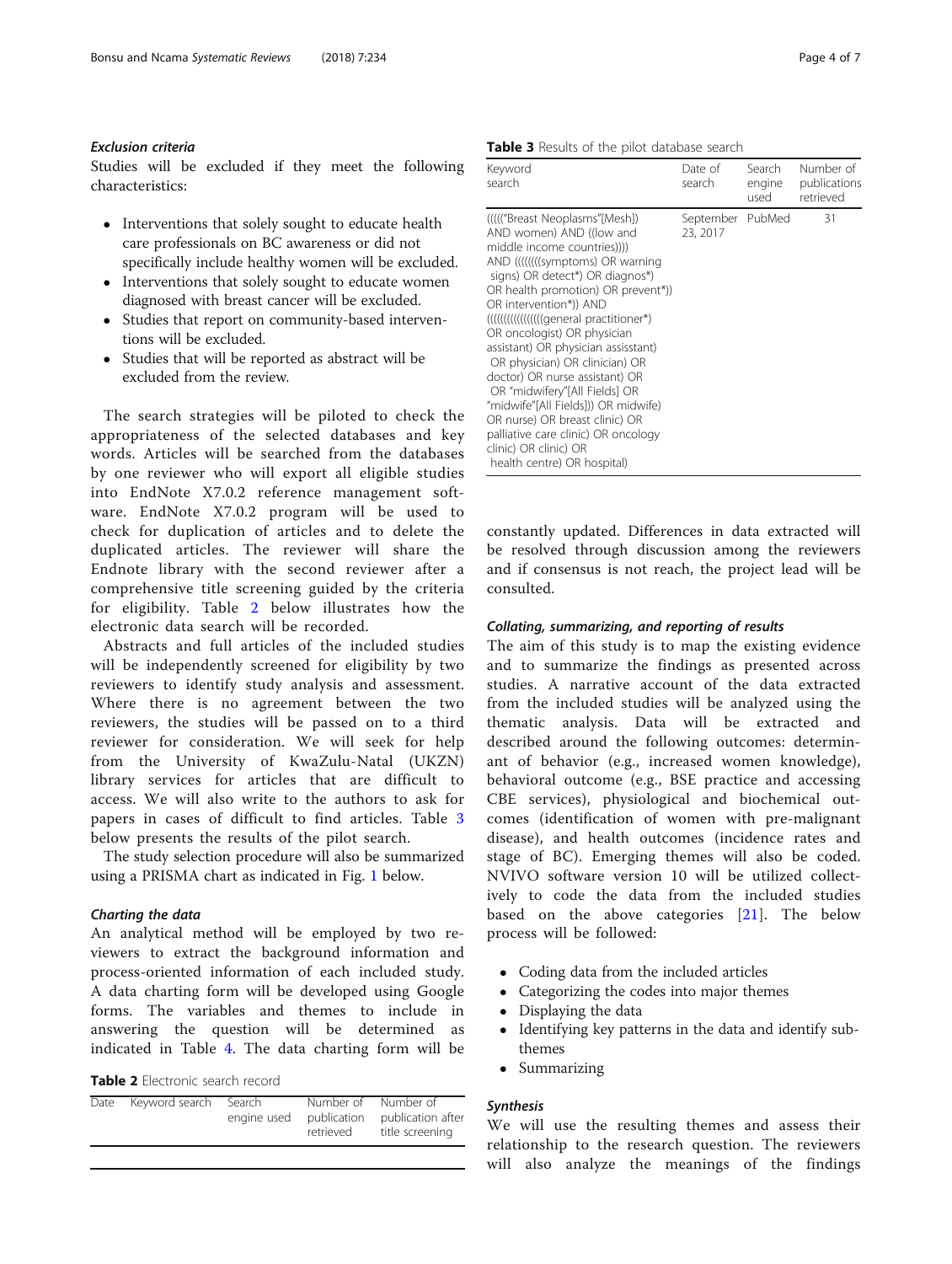### Exclusion criteria

Studies will be excluded if they meet the following characteristics:

- Interventions that solely sought to educate health care professionals on BC awareness or did not specifically include healthy women will be excluded.
- Interventions that solely sought to educate women diagnosed with breast cancer will be excluded.
- Studies that report on community-based interventions will be excluded.
- Studies that will be reported as abstract will be excluded from the review.

The search strategies will be piloted to check the appropriateness of the selected databases and key words. Articles will be searched from the databases by one reviewer who will export all eligible studies into EndNote X7.0.2 reference management software. EndNote X7.0.2 program will be used to check for duplication of articles and to delete the duplicated articles. The reviewer will share the Endnote library with the second reviewer after a comprehensive title screening guided by the criteria for eligibility. Table 2 below illustrates how the electronic data search will be recorded.

Abstracts and full articles of the included studies will be independently screened for eligibility by two reviewers to identify study analysis and assessment. Where there is no agreement between the two reviewers, the studies will be passed on to a third reviewer for consideration. We will seek for help from the University of KwaZulu-Natal (UKZN) library services for articles that are difficult to access. We will also write to the authors to ask for papers in cases of difficult to find articles. Table 3 below presents the results of the pilot search.

The study selection procedure will also be summarized using a PRISMA chart as indicated in Fig. [1](#page-4-0) below.

### Charting the data

An analytical method will be employed by two reviewers to extract the background information and process-oriented information of each included study. A data charting form will be developed using Google forms. The variables and themes to include in answering the question will be determined as indicated in Table [4](#page-5-0). The data charting form will be

Table 2 Electronic search record

| Date<br>Keyword search | Search<br>engine used | Number of<br>publication<br>retrieved | Number of<br>publication after<br>title screening |
|------------------------|-----------------------|---------------------------------------|---------------------------------------------------|
|------------------------|-----------------------|---------------------------------------|---------------------------------------------------|

### Table 3 Results of the pilot database search

| Keyword<br>search                                                                                                                                                                                                                                                                                                                                                                                                                                                                                                                                                                                                                       | Date of<br>search            | Search<br>engine<br>used | Number of<br>publications<br>retrieved |
|-----------------------------------------------------------------------------------------------------------------------------------------------------------------------------------------------------------------------------------------------------------------------------------------------------------------------------------------------------------------------------------------------------------------------------------------------------------------------------------------------------------------------------------------------------------------------------------------------------------------------------------------|------------------------------|--------------------------|----------------------------------------|
| (((("Breast Neoplasms"[Mesh]))<br>AND women) AND ((low and<br>middle income countries))))<br>AND (((((((((symptoms) OR warning<br>signs) OR detect*) OR diagnos*)<br>OR health promotion) OR prevent*))<br>OR intervention*)) AND<br>(((((((((((((((((((((qeneral practitioner*)))))<br>OR oncologist) OR physician<br>assistant) OR physician assisstant)<br>OR physician) OR clinician) OR<br>doctor) OR nurse assistant) OR<br>OR "midwifery"[All Fields] OR<br>"midwife"[All Fields])) OR midwife)<br>OR nurse) OR breast clinic) OR<br>palliative care clinic) OR oncology<br>clinic) OR clinic) OR<br>health centre) OR hospital) | September PubMed<br>23, 2017 |                          | 31                                     |

constantly updated. Differences in data extracted will be resolved through discussion among the reviewers and if consensus is not reach, the project lead will be consulted.

### Collating, summarizing, and reporting of results

The aim of this study is to map the existing evidence and to summarize the findings as presented across studies. A narrative account of the data extracted from the included studies will be analyzed using the thematic analysis. Data will be extracted and described around the following outcomes: determinant of behavior (e.g., increased women knowledge), behavioral outcome (e.g., BSE practice and accessing CBE services), physiological and biochemical outcomes (identification of women with pre-malignant disease), and health outcomes (incidence rates and stage of BC). Emerging themes will also be coded. NVIVO software version 10 will be utilized collectively to code the data from the included studies based on the above categories [[21\]](#page-6-0). The below process will be followed:

- Coding data from the included articles
- Categorizing the codes into major themes
- Displaying the data
- Identifying key patterns in the data and identify subthemes
- Summarizing

### Synthesis

We will use the resulting themes and assess their relationship to the research question. The reviewers will also analyze the meanings of the findings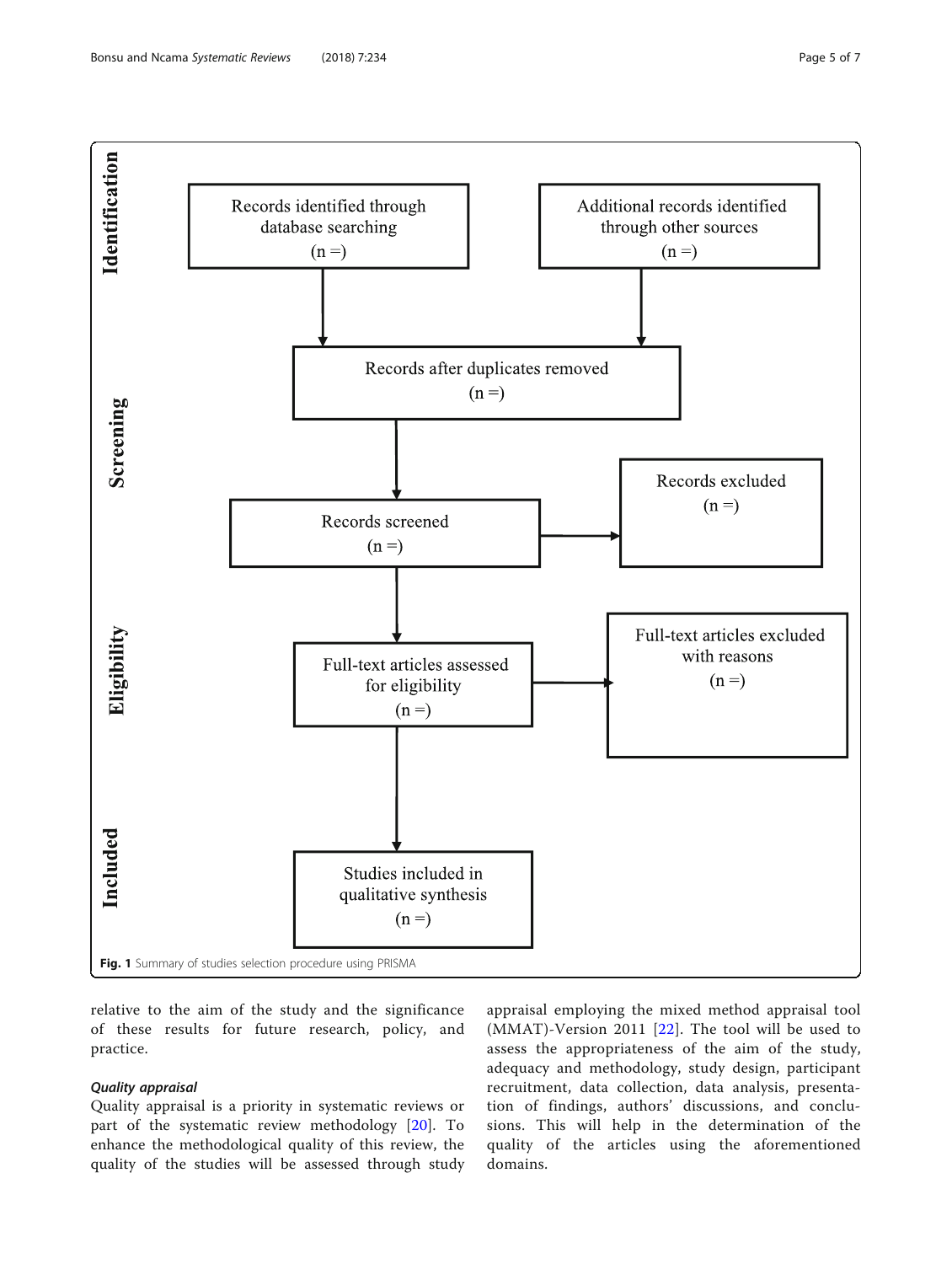<span id="page-4-0"></span>

relative to the aim of the study and the significance of these results for future research, policy, and practice.

### Quality appraisal

Quality appraisal is a priority in systematic reviews or part of the systematic review methodology [\[20](#page-6-0)]. To enhance the methodological quality of this review, the quality of the studies will be assessed through study appraisal employing the mixed method appraisal tool (MMAT)-Version 2011 [[22](#page-6-0)]. The tool will be used to assess the appropriateness of the aim of the study, adequacy and methodology, study design, participant recruitment, data collection, data analysis, presentation of findings, authors' discussions, and conclusions. This will help in the determination of the quality of the articles using the aforementioned domains.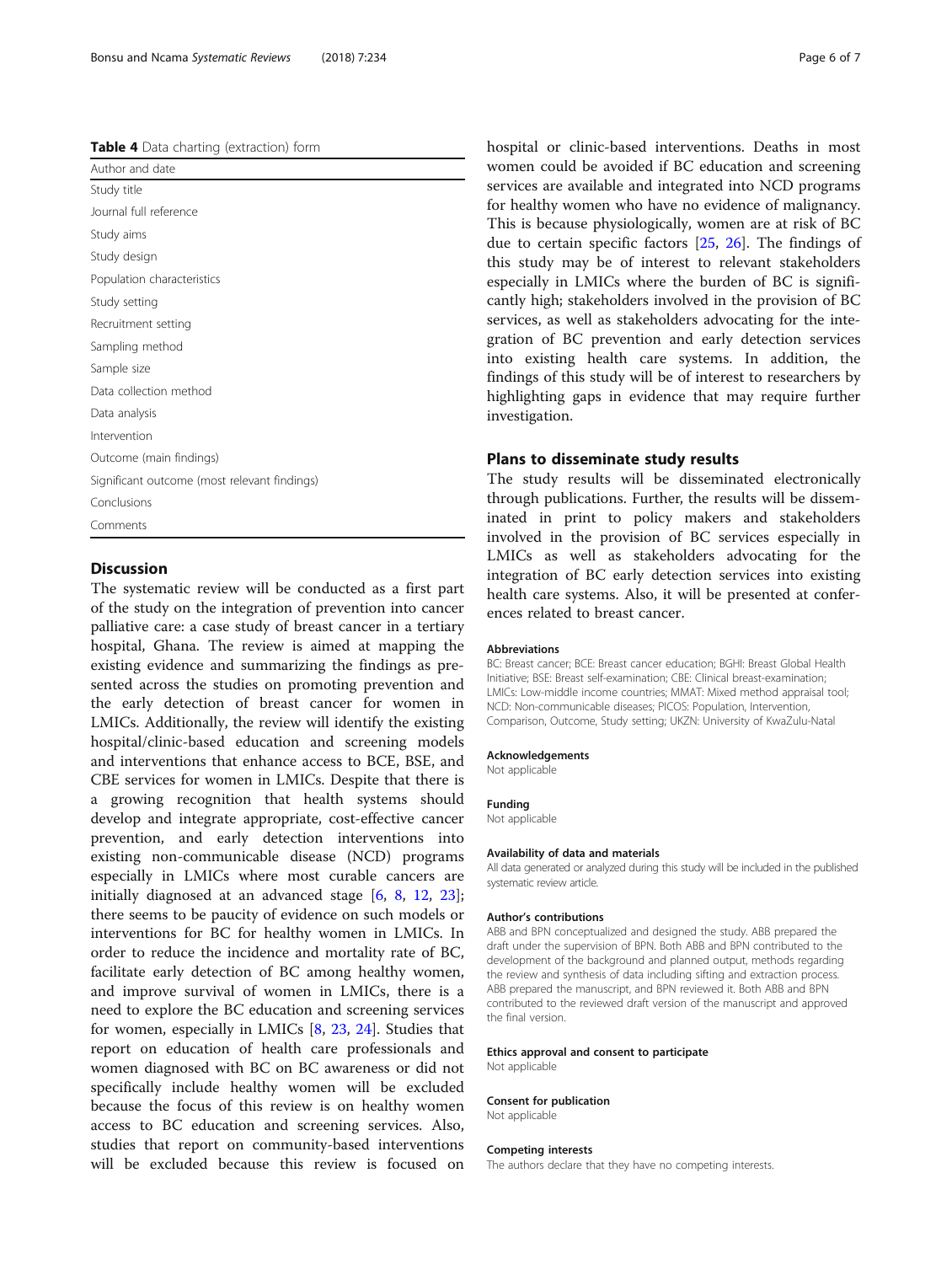<span id="page-5-0"></span>

|  |  |  | Table 4 Data charting (extraction) form |  |
|--|--|--|-----------------------------------------|--|
|--|--|--|-----------------------------------------|--|

| Author and date                              |  |
|----------------------------------------------|--|
| Study title                                  |  |
| Journal full reference                       |  |
| Study aims                                   |  |
| Study design                                 |  |
| Population characteristics                   |  |
| Study setting                                |  |
| Recruitment setting                          |  |
| Sampling method                              |  |
| Sample size                                  |  |
| Data collection method                       |  |
| Data analysis                                |  |
| Intervention                                 |  |
| Outcome (main findings)                      |  |
| Significant outcome (most relevant findings) |  |
| Conclusions                                  |  |
| Comments                                     |  |

### **Discussion**

The systematic review will be conducted as a first part of the study on the integration of prevention into cancer palliative care: a case study of breast cancer in a tertiary hospital, Ghana. The review is aimed at mapping the existing evidence and summarizing the findings as presented across the studies on promoting prevention and the early detection of breast cancer for women in LMICs. Additionally, the review will identify the existing hospital/clinic-based education and screening models and interventions that enhance access to BCE, BSE, and CBE services for women in LMICs. Despite that there is a growing recognition that health systems should develop and integrate appropriate, cost-effective cancer prevention, and early detection interventions into existing non-communicable disease (NCD) programs especially in LMICs where most curable cancers are initially diagnosed at an advanced stage [\[6,](#page-6-0) [8,](#page-6-0) [12](#page-6-0), [23](#page-6-0)]; there seems to be paucity of evidence on such models or interventions for BC for healthy women in LMICs. In order to reduce the incidence and mortality rate of BC, facilitate early detection of BC among healthy women, and improve survival of women in LMICs, there is a need to explore the BC education and screening services for women, especially in LMICs [[8,](#page-6-0) [23](#page-6-0), [24\]](#page-6-0). Studies that report on education of health care professionals and women diagnosed with BC on BC awareness or did not specifically include healthy women will be excluded because the focus of this review is on healthy women access to BC education and screening services. Also, studies that report on community-based interventions will be excluded because this review is focused on

hospital or clinic-based interventions. Deaths in most women could be avoided if BC education and screening services are available and integrated into NCD programs for healthy women who have no evidence of malignancy. This is because physiologically, women are at risk of BC due to certain specific factors [[25,](#page-6-0) [26\]](#page-6-0). The findings of this study may be of interest to relevant stakeholders especially in LMICs where the burden of BC is significantly high; stakeholders involved in the provision of BC services, as well as stakeholders advocating for the integration of BC prevention and early detection services into existing health care systems. In addition, the findings of this study will be of interest to researchers by highlighting gaps in evidence that may require further investigation.

### Plans to disseminate study results

The study results will be disseminated electronically through publications. Further, the results will be disseminated in print to policy makers and stakeholders involved in the provision of BC services especially in LMICs as well as stakeholders advocating for the integration of BC early detection services into existing health care systems. Also, it will be presented at conferences related to breast cancer.

#### Abbreviations

BC: Breast cancer; BCE: Breast cancer education; BGHI: Breast Global Health Initiative; BSE: Breast self-examination; CBE: Clinical breast-examination; LMICs: Low-middle income countries; MMAT: Mixed method appraisal tool; NCD: Non-communicable diseases; PICOS: Population, Intervention, Comparison, Outcome, Study setting; UKZN: University of KwaZulu-Natal

#### Acknowledgements

Not applicable

#### Funding

Not applicable

#### Availability of data and materials

All data generated or analyzed during this study will be included in the published systematic review article.

#### Author's contributions

ABB and BPN conceptualized and designed the study. ABB prepared the draft under the supervision of BPN. Both ABB and BPN contributed to the development of the background and planned output, methods regarding the review and synthesis of data including sifting and extraction process. ABB prepared the manuscript, and BPN reviewed it. Both ABB and BPN contributed to the reviewed draft version of the manuscript and approved the final version.

#### Ethics approval and consent to participate

#### Consent for publication

Not applicable

Not applicable

#### Competing interests

The authors declare that they have no competing interests.